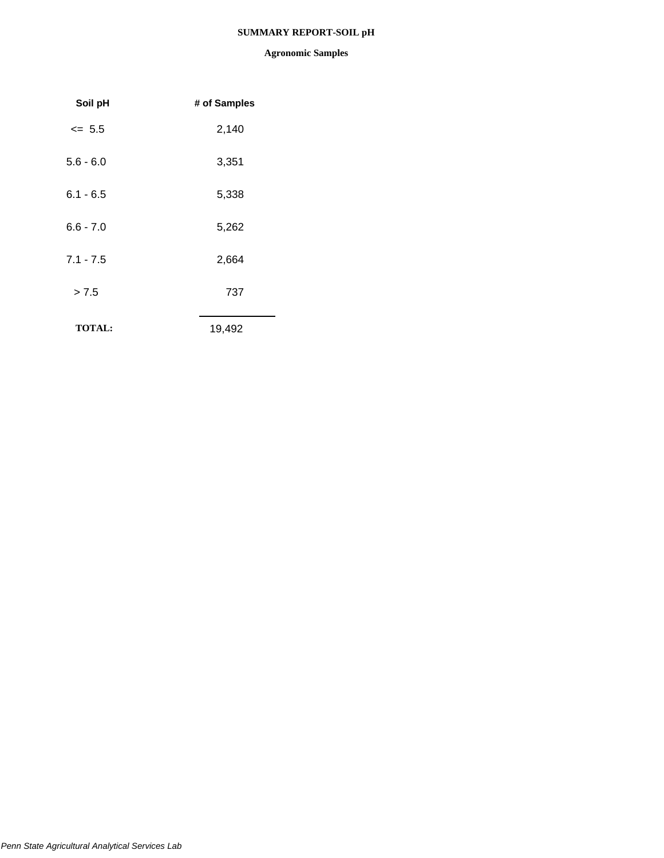## **SUMMARY REPORT-SOIL pH**

| Soil pH       | # of Samples |  |
|---------------|--------------|--|
| $= 5.5$       | 2,140        |  |
| $5.6 - 6.0$   | 3,351        |  |
| $6.1 - 6.5$   | 5,338        |  |
| $6.6 - 7.0$   | 5,262        |  |
| $7.1 - 7.5$   | 2,664        |  |
| > 7.5         | 737          |  |
| <b>TOTAL:</b> | 19,492       |  |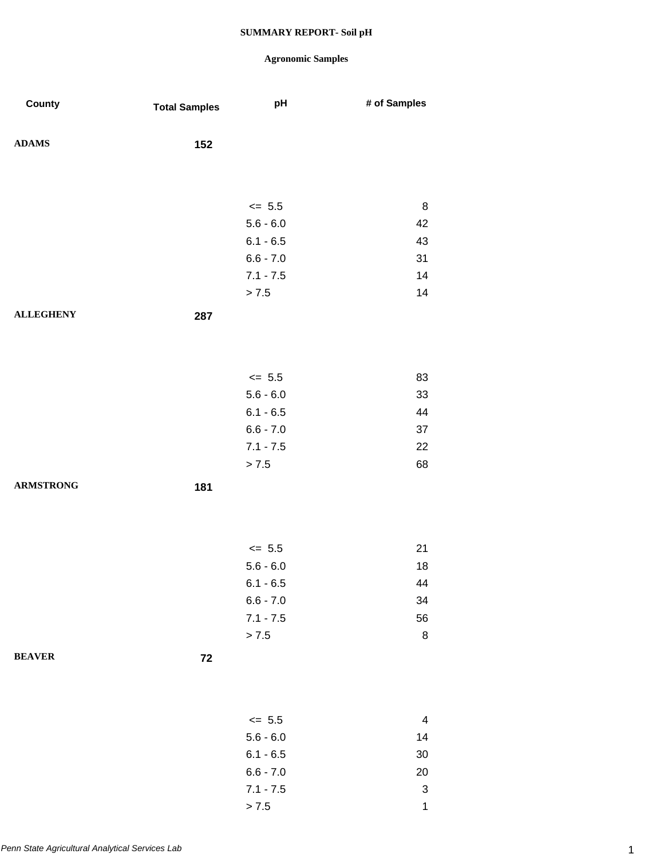## **Agronomic Samples**

| County           | <b>Total Samples</b> | pH          | # of Samples              |
|------------------|----------------------|-------------|---------------------------|
| <b>ADAMS</b>     | 152                  |             |                           |
|                  |                      |             |                           |
|                  |                      |             |                           |
|                  |                      | $\leq$ 5.5  | 8                         |
|                  |                      | $5.6 - 6.0$ | 42                        |
|                  |                      | $6.1 - 6.5$ | 43                        |
|                  |                      | $6.6 - 7.0$ | 31                        |
|                  |                      | $7.1 - 7.5$ | 14                        |
|                  |                      | > 7.5       | 14                        |
| <b>ALLEGHENY</b> | 287                  |             |                           |
|                  |                      |             |                           |
|                  |                      |             |                           |
|                  |                      | $\le$ 5.5   | 83                        |
|                  |                      | $5.6 - 6.0$ | 33                        |
|                  |                      | $6.1 - 6.5$ | 44                        |
|                  |                      | $6.6 - 7.0$ | 37                        |
|                  |                      | $7.1 - 7.5$ | 22                        |
|                  |                      | > 7.5       | 68                        |
| <b>ARMSTRONG</b> |                      |             |                           |
|                  | 181                  |             |                           |
|                  |                      |             |                           |
|                  |                      |             |                           |
|                  |                      | $\le$ 5.5   | 21                        |
|                  |                      | $5.6 - 6.0$ | 18                        |
|                  |                      | $6.1 - 6.5$ | 44                        |
|                  |                      | $6.6 - 7.0$ | 34                        |
|                  |                      | $7.1 - 7.5$ | 56                        |
|                  |                      | > 7.5       | $\bf 8$                   |
| <b>BEAVER</b>    | 72                   |             |                           |
|                  |                      |             |                           |
|                  |                      |             |                           |
|                  |                      | $\leq$ 5.5  | 4                         |
|                  |                      | $5.6 - 6.0$ | 14                        |
|                  |                      | $6.1 - 6.5$ | $30\,$                    |
|                  |                      | $6.6 - 7.0$ | 20                        |
|                  |                      | $7.1 - 7.5$ | $\ensuremath{\mathsf{3}}$ |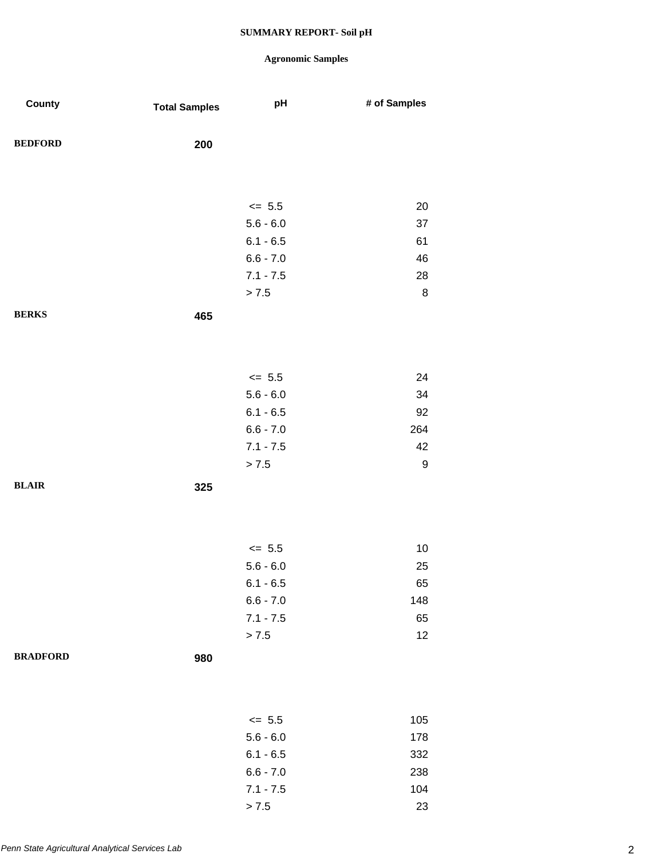| County          | <b>Total Samples</b> | pH          | # of Samples |
|-----------------|----------------------|-------------|--------------|
| <b>BEDFORD</b>  | 200                  |             |              |
|                 |                      |             |              |
|                 |                      | $\leq$ 5.5  | 20           |
|                 |                      | $5.6 - 6.0$ | 37           |
|                 |                      | $6.1 - 6.5$ | 61           |
|                 |                      | $6.6 - 7.0$ | 46           |
|                 |                      | $7.1 - 7.5$ | 28           |
|                 |                      | > 7.5       | $\bf 8$      |
| <b>BERKS</b>    | 465                  |             |              |
|                 |                      |             |              |
|                 |                      |             |              |
|                 |                      | $\leq$ 5.5  | 24           |
|                 |                      | $5.6 - 6.0$ | 34           |
|                 |                      | $6.1 - 6.5$ | 92           |
|                 |                      | $6.6 - 7.0$ | 264          |
|                 |                      | $7.1 - 7.5$ | 42           |
|                 |                      | > 7.5       | 9            |
| <b>BLAIR</b>    | 325                  |             |              |
|                 |                      |             |              |
|                 |                      |             |              |
|                 |                      | $\leq$ 5.5  | 10           |
|                 |                      | $5.6 - 6.0$ | 25           |
|                 |                      | $6.1 - 6.5$ | 65           |
|                 |                      | $6.6 - 7.0$ | 148          |
|                 |                      | $7.1 - 7.5$ | 65           |
|                 |                      | > 7.5       | 12           |
| <b>BRADFORD</b> | 980                  |             |              |
|                 |                      |             |              |
|                 |                      |             |              |
|                 |                      | $\leq$ 5.5  | 105          |
|                 |                      | $5.6 - 6.0$ | 178          |
|                 |                      | $6.1 - 6.5$ | 332          |
|                 |                      | $6.6 - 7.0$ | 238          |
|                 |                      | $7.1 - 7.5$ | 104          |
|                 |                      | > 7.5       | 23           |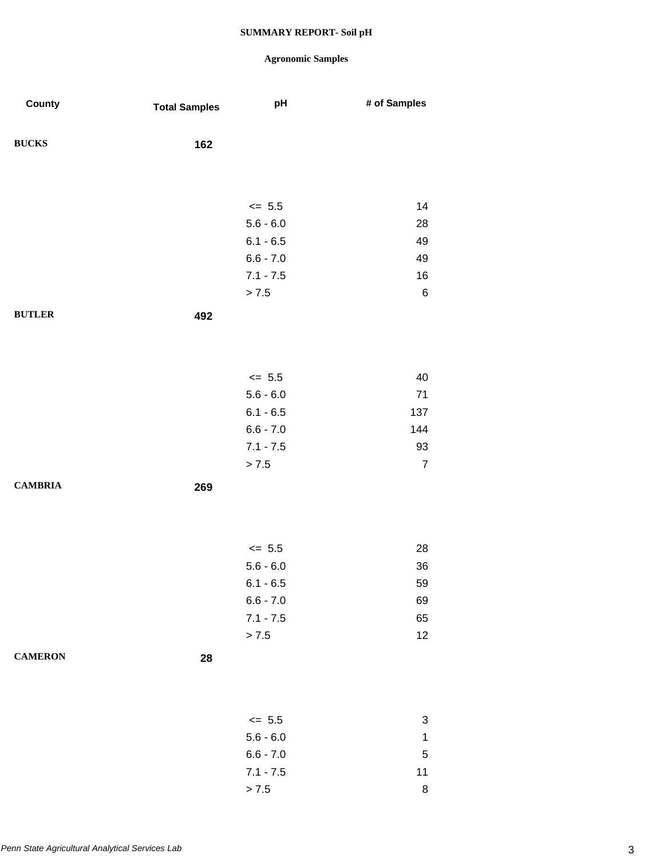| County         | <b>Total Samples</b> | pH          | # of Samples   |
|----------------|----------------------|-------------|----------------|
| <b>BUCKS</b>   | 162                  |             |                |
|                |                      |             |                |
|                |                      |             |                |
|                |                      | $\leq$ 5.5  | 14             |
|                |                      | $5.6 - 6.0$ | 28             |
|                |                      | $6.1 - 6.5$ | 49             |
|                |                      | $6.6 - 7.0$ | 49             |
|                |                      | $7.1 - 7.5$ | 16             |
|                |                      | > 7.5       | 6              |
| <b>BUTLER</b>  | 492                  |             |                |
|                |                      |             |                |
|                |                      |             |                |
|                |                      | $\leq$ 5.5  | 40             |
|                |                      | $5.6 - 6.0$ | $71$           |
|                |                      | $6.1 - 6.5$ | 137            |
|                |                      | $6.6 - 7.0$ | 144            |
|                |                      | $7.1 - 7.5$ | 93             |
|                |                      | > 7.5       | $\overline{7}$ |
| <b>CAMBRIA</b> | 269                  |             |                |
|                |                      |             |                |
|                |                      |             |                |
|                |                      |             |                |
|                |                      | $\leq$ 5.5  | 28             |
|                |                      | $5.6 - 6.0$ | 36             |
|                |                      | $6.1 - 6.5$ | 59             |
|                |                      | $6.6 - 7.0$ | 69             |
|                |                      | $7.1 - 7.5$ | 65             |
|                |                      | > 7.5       | 12             |
| <b>CAMERON</b> | 28                   |             |                |
|                |                      |             |                |
|                |                      |             |                |
|                |                      |             |                |
|                |                      | $\leq$ 5.5  | 3              |
|                |                      | $5.6 - 6.0$ | $\mathbf{1}$   |
|                |                      | $6.6 - 7.0$ | $\mathbf 5$    |
|                |                      | $7.1 - 7.5$ | 11             |
|                |                      | > 7.5       | 8              |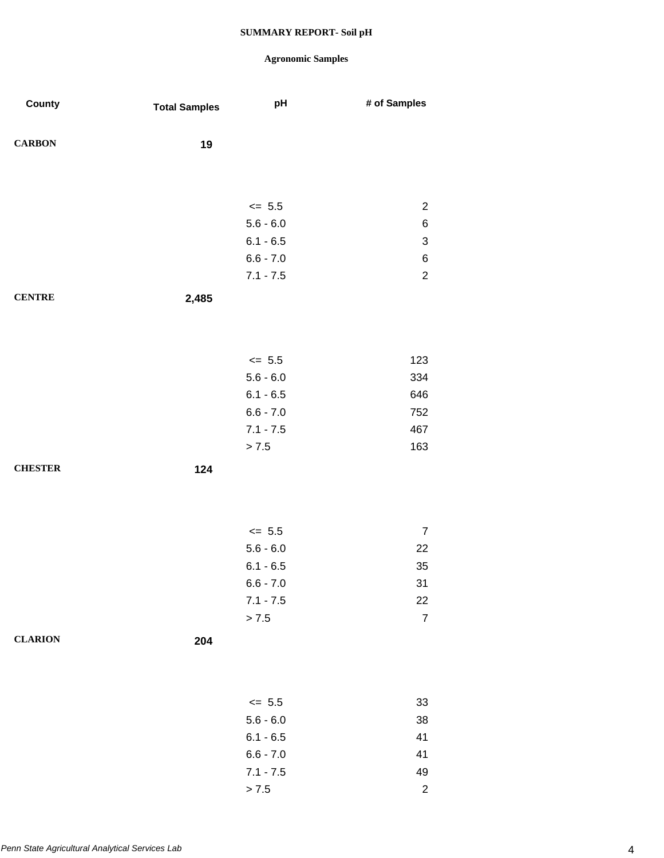| County         | <b>Total Samples</b> | pH          | # of Samples              |
|----------------|----------------------|-------------|---------------------------|
| <b>CARBON</b>  | 19                   |             |                           |
|                |                      |             |                           |
|                |                      | $\leq$ 5.5  | $\overline{2}$            |
|                |                      | $5.6 - 6.0$ | $\,6$                     |
|                |                      | $6.1 - 6.5$ | $\ensuremath{\mathsf{3}}$ |
|                |                      | $6.6 - 7.0$ | $\,6$                     |
|                |                      | $7.1 - 7.5$ | $\overline{2}$            |
| <b>CENTRE</b>  | 2,485                |             |                           |
|                |                      |             |                           |
|                |                      | $\leq$ 5.5  | 123                       |
|                |                      | $5.6 - 6.0$ | 334                       |
|                |                      | $6.1 - 6.5$ | 646                       |
|                |                      | $6.6 - 7.0$ | 752                       |
|                |                      | $7.1 - 7.5$ | 467                       |
|                |                      | > 7.5       | 163                       |
| <b>CHESTER</b> | 124                  |             |                           |
|                |                      |             |                           |
|                |                      |             |                           |
|                |                      | $\leq$ 5.5  | $\boldsymbol{7}$          |
|                |                      | $5.6 - 6.0$ | 22                        |
|                |                      | $6.1 - 6.5$ | 35                        |
|                |                      | $6.6 - 7.0$ | 31                        |
|                |                      | $7.1 - 7.5$ | 22                        |
|                |                      | > 7.5       | $\overline{7}$            |
| <b>CLARION</b> | 204                  |             |                           |
|                |                      |             |                           |
|                |                      | $\leq$ 5.5  | 33                        |
|                |                      | $5.6 - 6.0$ | $38\,$                    |
|                |                      | $6.1 - 6.5$ | 41                        |
|                |                      | $6.6 - 7.0$ | 41                        |
|                |                      | $7.1 - 7.5$ | 49                        |
|                |                      | > 7.5       | $\sqrt{2}$                |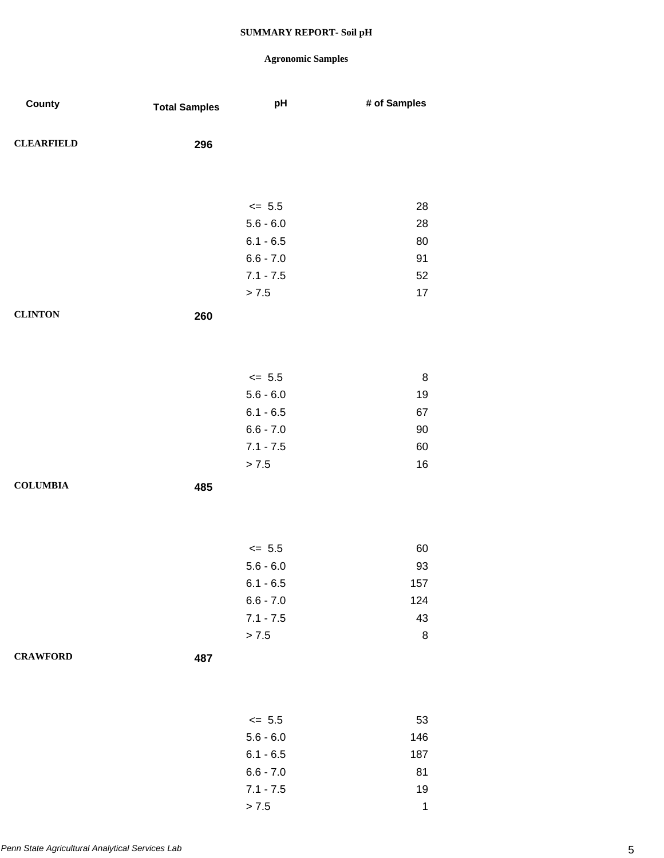| County            | <b>Total Samples</b> | pH                         | # of Samples |
|-------------------|----------------------|----------------------------|--------------|
| <b>CLEARFIELD</b> | 296                  |                            |              |
|                   |                      |                            |              |
|                   |                      | $\leq$ 5.5                 | 28           |
|                   |                      | $5.6 - 6.0$                | 28           |
|                   |                      | $6.1 - 6.5$                | 80           |
|                   |                      | $6.6 - 7.0$                | 91           |
|                   |                      | $7.1 - 7.5$                | 52           |
|                   |                      | > 7.5                      | 17           |
| <b>CLINTON</b>    | 260                  |                            |              |
|                   |                      |                            |              |
|                   |                      |                            |              |
|                   |                      | $\leq$ 5.5                 | $\bf 8$      |
|                   |                      | $5.6 - 6.0$                | 19           |
|                   |                      | $6.1 - 6.5$                | 67           |
|                   |                      | $6.6 - 7.0$<br>$7.1 - 7.5$ | $90\,$<br>60 |
|                   |                      | > 7.5                      | 16           |
| <b>COLUMBIA</b>   | 485                  |                            |              |
|                   |                      |                            |              |
|                   |                      |                            |              |
|                   |                      | $\leq$ 5.5                 | 60           |
|                   |                      | $5.6 - 6.0$                | 93           |
|                   |                      | $6.1 - 6.5$                | 157          |
|                   |                      | $6.6 - 7.0$                | 124          |
|                   |                      | $7.1 - 7.5$                | 43           |
|                   |                      | $> 7.5$                    | $\bf 8$      |
| <b>CRAWFORD</b>   | 487                  |                            |              |
|                   |                      |                            |              |
|                   |                      | $\leq$ 5.5                 | 53           |
|                   |                      | $5.6 - 6.0$                | 146          |
|                   |                      | $6.1 - 6.5$                | 187          |
|                   |                      | $6.6 - 7.0$                | 81           |
|                   |                      | $7.1 - 7.5$                | 19           |
|                   |                      | > 7.5                      | $\mathbf 1$  |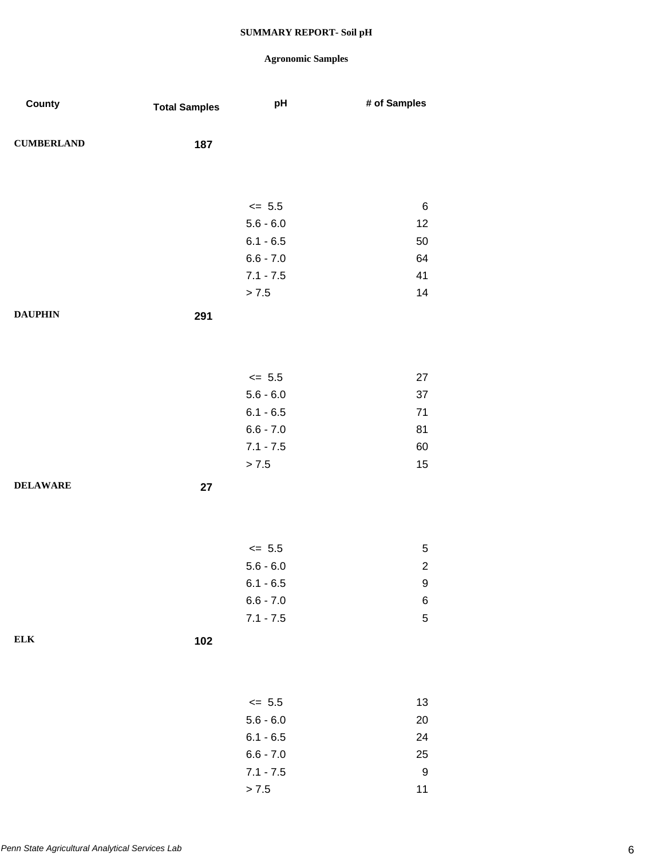| County            | <b>Total Samples</b> | pH          | # of Samples   |
|-------------------|----------------------|-------------|----------------|
| <b>CUMBERLAND</b> | 187                  |             |                |
|                   |                      |             |                |
|                   |                      | $\leq$ 5.5  | 6              |
|                   |                      | $5.6 - 6.0$ | 12             |
|                   |                      | $6.1 - 6.5$ | 50             |
|                   |                      | $6.6 - 7.0$ | 64             |
|                   |                      | $7.1 - 7.5$ | 41             |
|                   |                      | > 7.5       | 14             |
| <b>DAUPHIN</b>    | 291                  |             |                |
|                   |                      |             |                |
|                   |                      | $\leq$ 5.5  | 27             |
|                   |                      | $5.6 - 6.0$ | 37             |
|                   |                      | $6.1 - 6.5$ | 71             |
|                   |                      | $6.6 - 7.0$ | 81             |
|                   |                      | $7.1 - 7.5$ | 60             |
|                   |                      | > 7.5       | 15             |
| <b>DELAWARE</b>   | 27                   |             |                |
|                   |                      |             |                |
|                   |                      | $\leq$ 5.5  | 5              |
|                   |                      | $5.6 - 6.0$ | $\overline{2}$ |
|                   |                      | $6.1 - 6.5$ | 9              |
|                   |                      | $6.6 - 7.0$ | 6              |
|                   |                      | $7.1 - 7.5$ | $\,$ 5 $\,$    |
| <b>ELK</b>        | 102                  |             |                |
|                   |                      |             |                |
|                   |                      | $\leq$ 5.5  | 13             |
|                   |                      | $5.6 - 6.0$ | 20             |
|                   |                      | $6.1 - 6.5$ | 24             |
|                   |                      | $6.6 - 7.0$ | 25             |
|                   |                      | $7.1 - 7.5$ | 9              |
|                   |                      | > 7.5       | 11             |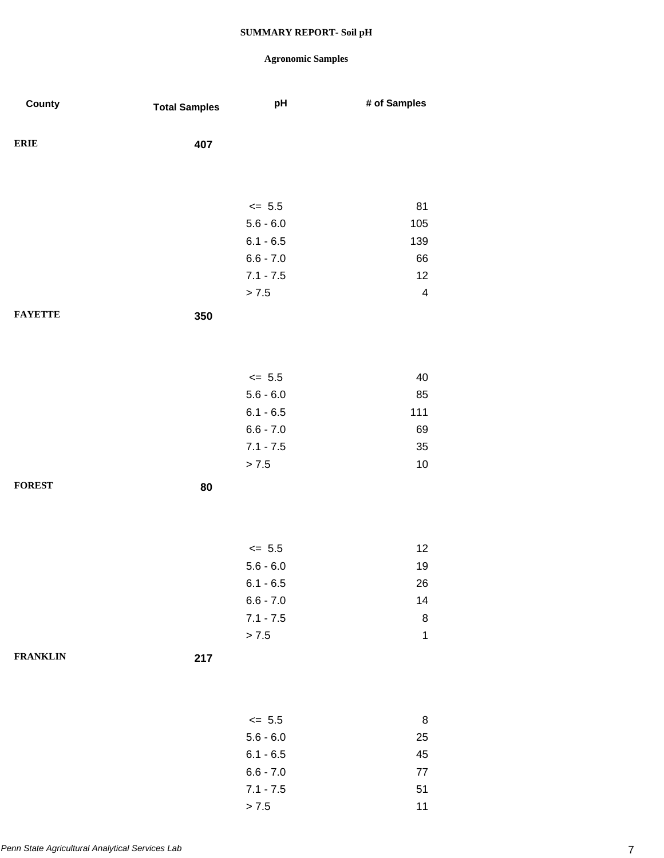| County          | <b>Total Samples</b> | pH          | # of Samples            |
|-----------------|----------------------|-------------|-------------------------|
| <b>ERIE</b>     | 407                  |             |                         |
|                 |                      |             |                         |
|                 |                      | $\le$ 5.5   | 81                      |
|                 |                      | $5.6 - 6.0$ | 105                     |
|                 |                      | $6.1 - 6.5$ | 139                     |
|                 |                      | $6.6 - 7.0$ | 66                      |
|                 |                      | $7.1 - 7.5$ | 12                      |
|                 |                      | > 7.5       | $\overline{\mathbf{4}}$ |
| <b>FAYETTE</b>  | 350                  |             |                         |
|                 |                      |             |                         |
|                 |                      | $\le$ 5.5   | 40                      |
|                 |                      | $5.6 - 6.0$ | 85                      |
|                 |                      | $6.1 - 6.5$ | 111                     |
|                 |                      | $6.6 - 7.0$ | 69                      |
|                 |                      | $7.1 - 7.5$ | 35                      |
|                 |                      | > 7.5       | $10$                    |
| <b>FOREST</b>   | 80                   |             |                         |
|                 |                      |             |                         |
|                 |                      | $\le$ 5.5   | 12                      |
|                 |                      | $5.6 - 6.0$ | 19                      |
|                 |                      | $6.1 - 6.5$ | 26                      |
|                 |                      | $6.6 - 7.0$ | 14                      |
|                 |                      | $7.1 - 7.5$ | $\bf 8$                 |
|                 |                      | > 7.5       | $\mathbf{1}$            |
| <b>FRANKLIN</b> | 217                  |             |                         |
|                 |                      |             |                         |
|                 |                      | $\leq$ 5.5  | 8                       |
|                 |                      | $5.6 - 6.0$ | 25                      |
|                 |                      | $6.1 - 6.5$ | 45                      |
|                 |                      | $6.6 - 7.0$ | $77\,$                  |
|                 |                      | $7.1 - 7.5$ | 51                      |
|                 |                      | > 7.5       | 11                      |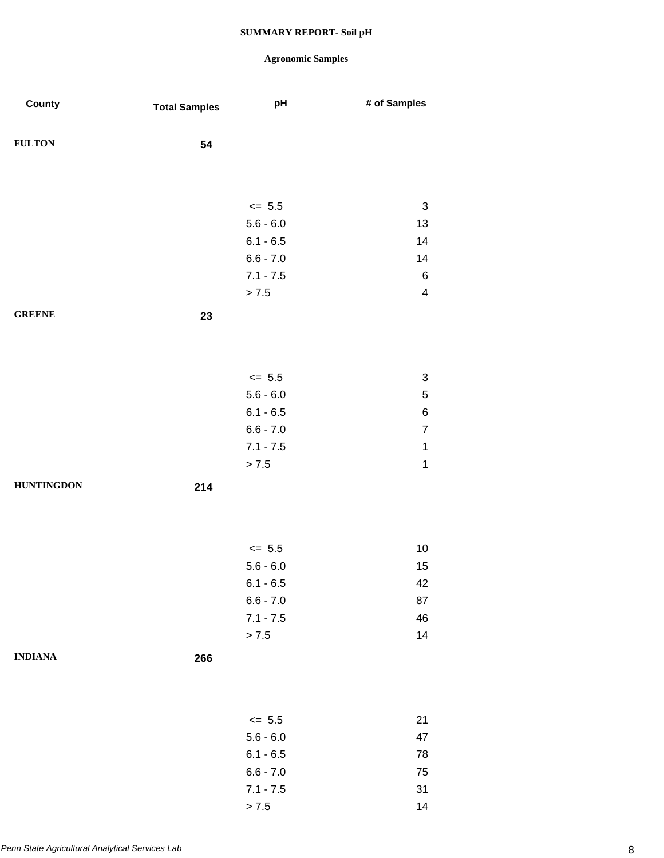## **Agronomic Samples**

| County            | <b>Total Samples</b> | pH          | # of Samples              |
|-------------------|----------------------|-------------|---------------------------|
| <b>FULTON</b>     | 54                   |             |                           |
|                   |                      |             |                           |
|                   |                      | $\leq$ 5.5  | $\sqrt{3}$                |
|                   |                      | $5.6 - 6.0$ | 13                        |
|                   |                      | $6.1 - 6.5$ | 14                        |
|                   |                      | $6.6 - 7.0$ | 14                        |
|                   |                      | $7.1 - 7.5$ | $\,6\,$                   |
|                   |                      | > 7.5       | $\overline{\mathbf{4}}$   |
| <b>GREENE</b>     | 23                   |             |                           |
|                   |                      |             |                           |
|                   |                      | $\le$ 5.5   | $\ensuremath{\mathsf{3}}$ |
|                   |                      | $5.6 - 6.0$ | $\mathbf 5$               |
|                   |                      | $6.1 - 6.5$ | $\,6$                     |
|                   |                      | $6.6 - 7.0$ | $\overline{7}$            |
|                   |                      | $7.1 - 7.5$ | $\mathbf 1$               |
|                   |                      | > 7.5       | $\mathbf 1$               |
| <b>HUNTINGDON</b> | 214                  |             |                           |
|                   |                      |             |                           |
|                   |                      | $\leq$ 5.5  | $10$                      |
|                   |                      | $5.6 - 6.0$ | 15                        |
|                   |                      | $6.1 - 6.5$ | 42                        |
|                   |                      | $6.6 - 7.0$ | 87                        |
|                   |                      | $7.1 - 7.5$ | 46                        |
|                   |                      | > 7.5       | 14                        |
| <b>INDIANA</b>    | 266                  |             |                           |
|                   |                      |             |                           |
|                   |                      | $\leq$ 5.5  | 21                        |
|                   |                      | $5.6 - 6.0$ | 47                        |
|                   |                      | $6.1 - 6.5$ | 78                        |
|                   |                      | $6.6 - 7.0$ | $75\,$                    |
|                   |                      | $7.1 - 7.5$ | 31                        |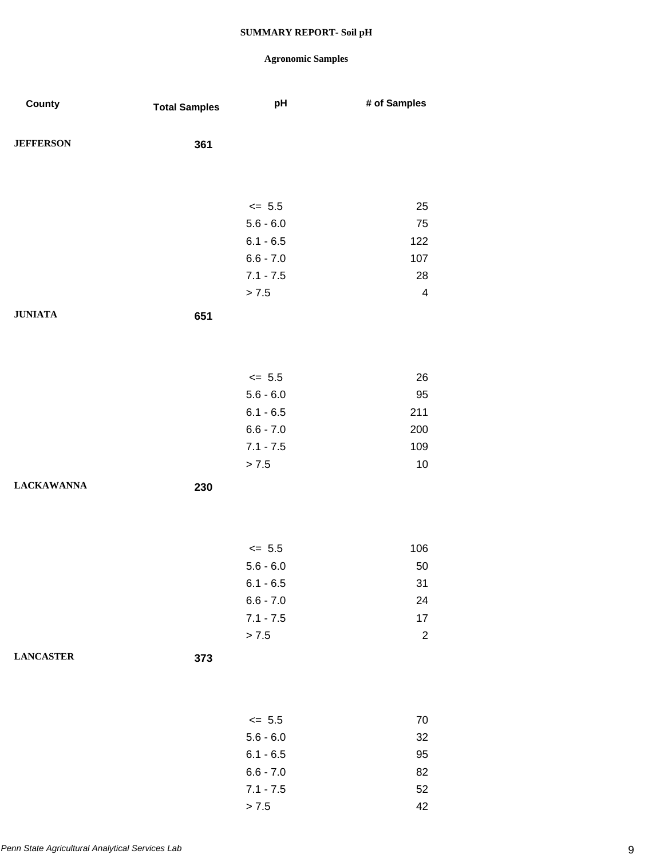| County            | <b>Total Samples</b> | pH                         | # of Samples   |
|-------------------|----------------------|----------------------------|----------------|
| <b>JEFFERSON</b>  | 361                  |                            |                |
|                   |                      |                            |                |
|                   |                      | $\le$ 5.5                  | 25             |
|                   |                      | $5.6 - 6.0$                | 75             |
|                   |                      | $6.1 - 6.5$<br>$6.6 - 7.0$ | 122<br>107     |
|                   |                      | $7.1 - 7.5$                | 28             |
|                   |                      | > 7.5                      | $\overline{4}$ |
| <b>JUNIATA</b>    | 651                  |                            |                |
|                   |                      |                            |                |
|                   |                      | $\leq$ 5.5                 | 26             |
|                   |                      | $5.6 - 6.0$                | 95             |
|                   |                      | $6.1 - 6.5$                | 211            |
|                   |                      | $6.6 - 7.0$                | 200            |
|                   |                      | $7.1 - 7.5$                | 109            |
|                   |                      | > 7.5                      | 10             |
| <b>LACKAWANNA</b> | 230                  |                            |                |
|                   |                      |                            |                |
|                   |                      | $\leq$ 5.5                 | 106            |
|                   |                      | $5.6 - 6.0$                | 50             |
|                   |                      | $6.1 - 6.5$                | 31             |
|                   |                      | $6.6 - 7.0$                | 24             |
|                   |                      | $7.1 - 7.5$                | $17\,$         |
|                   |                      | > 7.5                      | $\sqrt{2}$     |
| <b>LANCASTER</b>  | 373                  |                            |                |
|                   |                      |                            |                |
|                   |                      | $\leq$ 5.5                 | $70\,$         |
|                   |                      | $5.6 - 6.0$                | 32             |
|                   |                      | $6.1 - 6.5$                | 95             |
|                   |                      | $6.6 - 7.0$                | 82             |
|                   |                      | $7.1 - 7.5$                | 52             |
|                   |                      | > 7.5                      | 42             |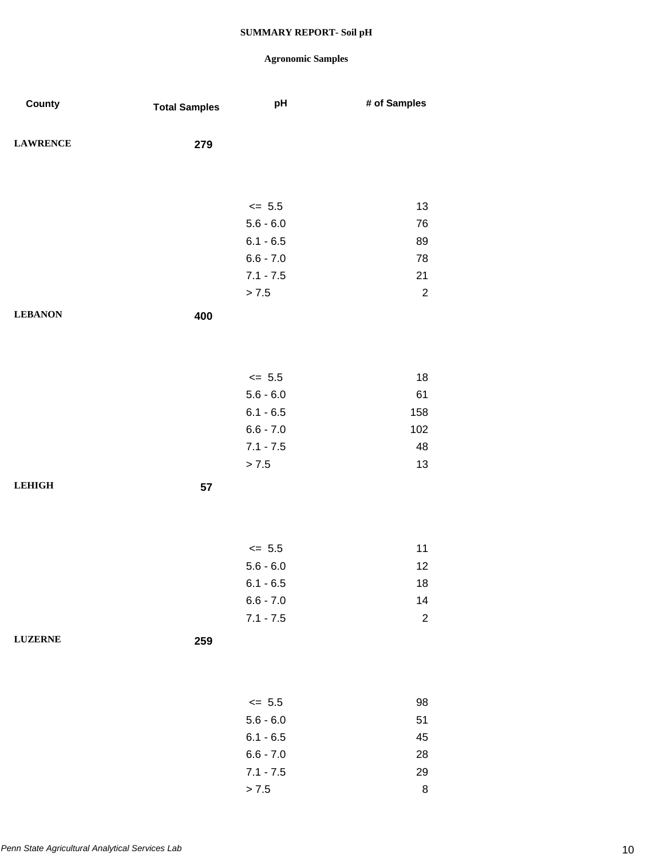| County          | <b>Total Samples</b> | pH                         | # of Samples     |
|-----------------|----------------------|----------------------------|------------------|
| <b>LAWRENCE</b> | 279                  |                            |                  |
|                 |                      |                            |                  |
|                 |                      | $\leq$ 5.5                 | 13               |
|                 |                      | $5.6 - 6.0$                | 76               |
|                 |                      | $6.1 - 6.5$                | 89               |
|                 |                      | $6.6 - 7.0$                | 78               |
|                 |                      | $7.1 - 7.5$                | 21               |
|                 |                      | > 7.5                      | $\boldsymbol{2}$ |
| <b>LEBANON</b>  | 400                  |                            |                  |
|                 |                      |                            |                  |
|                 |                      |                            |                  |
|                 |                      | $\le$ 5.5                  | 18               |
|                 |                      | $5.6 - 6.0$                | 61               |
|                 |                      | $6.1 - 6.5$                | 158              |
|                 |                      | $6.6 - 7.0$                | 102              |
|                 |                      | $7.1 - 7.5$                | 48               |
|                 |                      | > 7.5                      | 13               |
| <b>LEHIGH</b>   | 57                   |                            |                  |
|                 |                      |                            |                  |
|                 |                      |                            |                  |
|                 |                      |                            |                  |
|                 |                      | $\leq$ 5.5                 | 11               |
|                 |                      | $5.6 - 6.0$                | 12               |
|                 |                      | $6.1 - 6.5$                | 18               |
|                 |                      | $6.6 - 7.0$<br>$7.1 - 7.5$ | 14               |
|                 |                      |                            | $\boldsymbol{2}$ |
| <b>LUZERNE</b>  | 259                  |                            |                  |
|                 |                      |                            |                  |
|                 |                      |                            |                  |
|                 |                      | $\leq$ 5.5                 | 98               |
|                 |                      | $5.6 - 6.0$                | 51               |
|                 |                      | $6.1 - 6.5$                | 45               |
|                 |                      | $6.6 - 7.0$                | 28               |
|                 |                      | $7.1 - 7.5$                | 29               |
|                 |                      | > 7.5                      | $\bf8$           |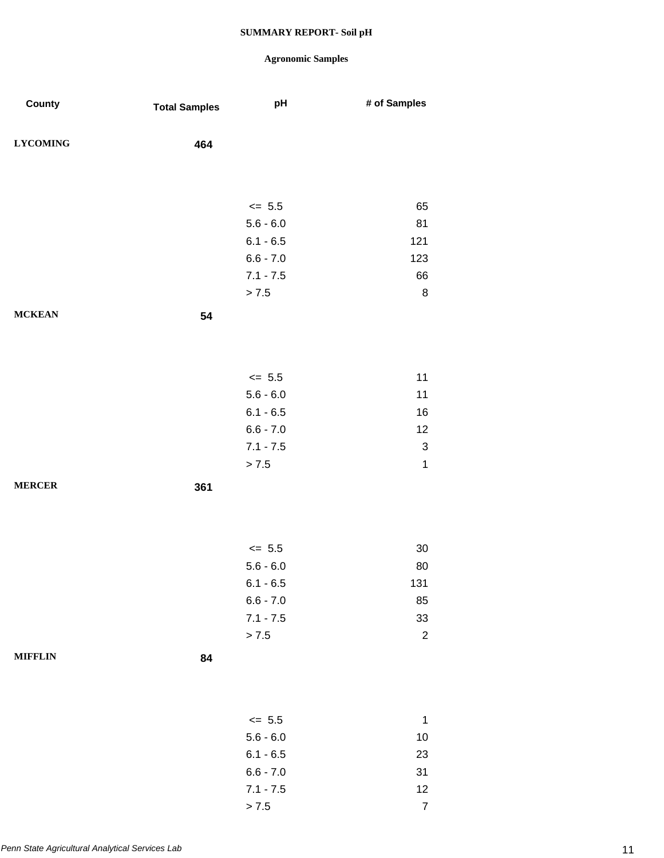## **Agronomic Samples**

| County          | <b>Total Samples</b> | pH          | # of Samples              |
|-----------------|----------------------|-------------|---------------------------|
| <b>LYCOMING</b> | 464                  |             |                           |
|                 |                      |             |                           |
|                 |                      | $\leq$ 5.5  | 65                        |
|                 |                      | $5.6 - 6.0$ | 81                        |
|                 |                      | $6.1 - 6.5$ | 121                       |
|                 |                      | $6.6 - 7.0$ | 123                       |
|                 |                      | $7.1 - 7.5$ | 66                        |
|                 |                      | > 7.5       | $\bf 8$                   |
| <b>MCKEAN</b>   | 54                   |             |                           |
|                 |                      |             |                           |
|                 |                      | $\le$ 5.5   | 11                        |
|                 |                      | $5.6 - 6.0$ | 11                        |
|                 |                      | $6.1 - 6.5$ | 16                        |
|                 |                      | $6.6 - 7.0$ | 12                        |
|                 |                      | $7.1 - 7.5$ | $\ensuremath{\mathsf{3}}$ |
|                 |                      | > 7.5       | 1                         |
| <b>MERCER</b>   | 361                  |             |                           |
|                 |                      |             |                           |
|                 |                      | $\le$ 5.5   | $30\,$                    |
|                 |                      | $5.6 - 6.0$ | 80                        |
|                 |                      | $6.1 - 6.5$ | 131                       |
|                 |                      | $6.6 - 7.0$ | 85                        |
|                 |                      | $7.1 - 7.5$ | 33                        |
|                 |                      | > 7.5       | $\overline{c}$            |
| <b>MIFFLIN</b>  | 84                   |             |                           |
|                 |                      |             |                           |
|                 |                      | $\leq$ 5.5  | 1                         |
|                 |                      | $5.6 - 6.0$ | 10                        |
|                 |                      | $6.1 - 6.5$ | 23                        |
|                 |                      | $6.6 - 7.0$ | 31                        |
|                 |                      | $7.1 - 7.5$ | 12                        |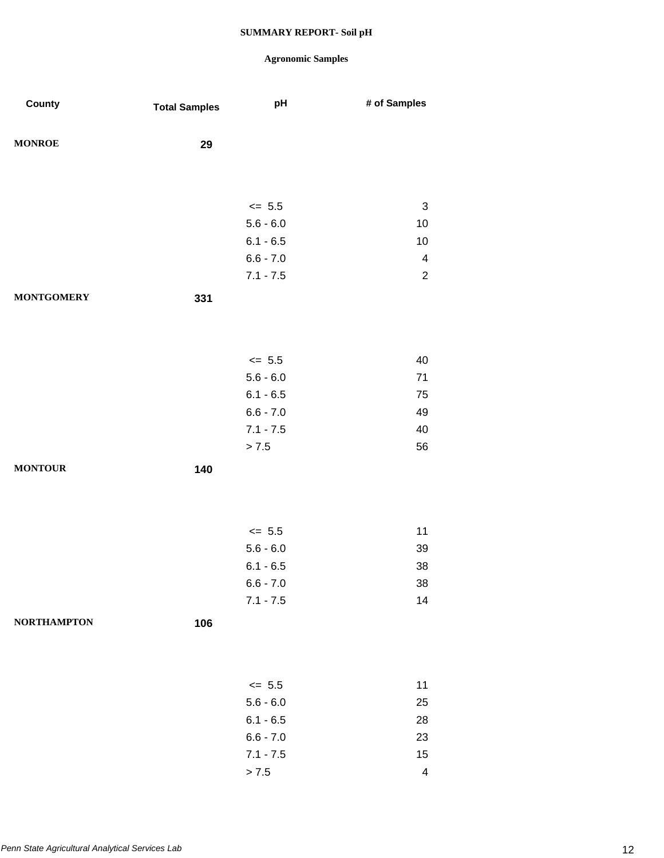| County             | <b>Total Samples</b> | pH                         | # of Samples            |
|--------------------|----------------------|----------------------------|-------------------------|
| <b>MONROE</b>      |                      |                            |                         |
|                    | 29                   |                            |                         |
|                    |                      |                            |                         |
|                    |                      | $\leq$ 5.5                 | $\sqrt{3}$              |
|                    |                      | $5.6 - 6.0$                | 10                      |
|                    |                      | $6.1 - 6.5$                | $10$                    |
|                    |                      | $6.6 - 7.0$                | $\overline{\mathbf{4}}$ |
|                    |                      | $7.1 - 7.5$                | $\overline{2}$          |
| <b>MONTGOMERY</b>  | 331                  |                            |                         |
|                    |                      |                            |                         |
|                    |                      |                            |                         |
|                    |                      |                            |                         |
|                    |                      | $\leq$ 5.5                 | 40                      |
|                    |                      | $5.6 - 6.0$<br>$6.1 - 6.5$ | 71<br>75                |
|                    |                      | $6.6 - 7.0$                | 49                      |
|                    |                      | $7.1 - 7.5$                | 40                      |
|                    |                      | $> 7.5$                    | 56                      |
| <b>MONTOUR</b>     |                      |                            |                         |
|                    | 140                  |                            |                         |
|                    |                      |                            |                         |
|                    |                      |                            |                         |
|                    |                      | $\leq$ 5.5                 | 11                      |
|                    |                      | $5.6 - 6.0$                | 39                      |
|                    |                      | $6.1 - 6.5$                | 38                      |
|                    |                      | $6.6 - 7.0$                | $38\,$                  |
|                    |                      | $7.1 - 7.5$                | 14                      |
| <b>NORTHAMPTON</b> | 106                  |                            |                         |
|                    |                      |                            |                         |
|                    |                      |                            |                         |
|                    |                      | $\leq$ 5.5                 | 11                      |
|                    |                      | $5.6 - 6.0$                | 25                      |
|                    |                      | $6.1 - 6.5$                | 28                      |
|                    |                      | $6.6 - 7.0$                | 23                      |
|                    |                      | $7.1 - 7.5$                | 15                      |
|                    |                      | $> 7.5$                    | $\overline{\mathbf{4}}$ |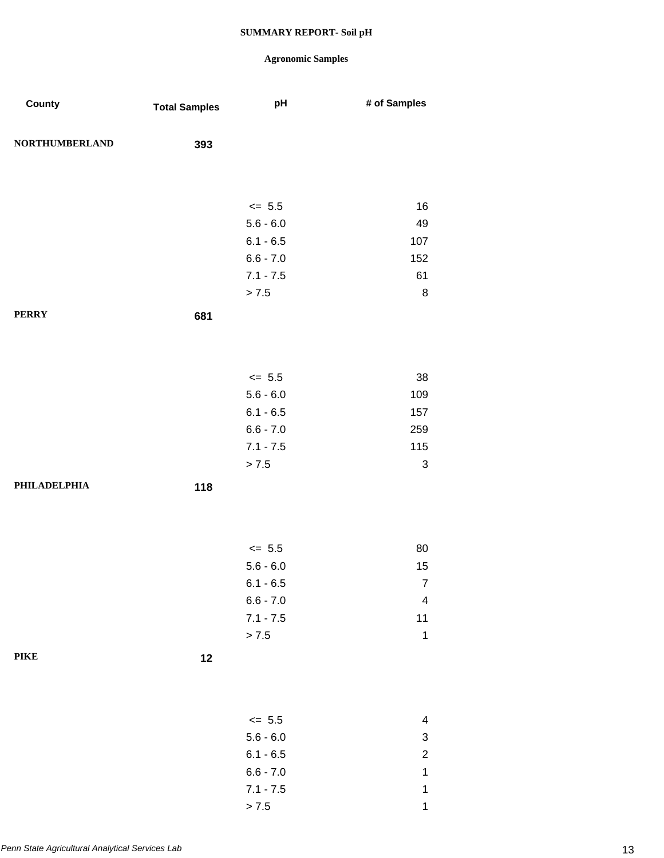## **Agronomic Samples**

| County                | <b>Total Samples</b> | pH                         | # of Samples            |
|-----------------------|----------------------|----------------------------|-------------------------|
| <b>NORTHUMBERLAND</b> | 393                  |                            |                         |
|                       |                      |                            |                         |
|                       |                      | $\leq$ 5.5                 | 16                      |
|                       |                      | $5.6 - 6.0$                | 49                      |
|                       |                      | $6.1 - 6.5$                | 107                     |
|                       |                      | $6.6 - 7.0$                | 152                     |
|                       |                      | $7.1 - 7.5$                | 61                      |
|                       |                      | > 7.5                      | $\bf 8$                 |
| <b>PERRY</b>          | 681                  |                            |                         |
|                       |                      |                            |                         |
|                       |                      |                            |                         |
|                       |                      | $\leq$ 5.5                 | 38                      |
|                       |                      | $5.6 - 6.0$                | 109                     |
|                       |                      | $6.1 - 6.5$<br>$6.6 - 7.0$ | 157<br>259              |
|                       |                      | $7.1 - 7.5$                | 115                     |
|                       |                      | > 7.5                      | 3                       |
| <b>PHILADELPHIA</b>   | 118                  |                            |                         |
|                       |                      |                            |                         |
|                       |                      |                            |                         |
|                       |                      | $\leq$ 5.5                 | 80                      |
|                       |                      | $5.6 - 6.0$                | 15                      |
|                       |                      | $6.1 - 6.5$                | $\overline{7}$          |
|                       |                      | $6.6 - 7.0$                | $\overline{\mathbf{4}}$ |
|                       |                      | $7.1 - 7.5$                | $11$                    |
|                       |                      | $> 7.5$                    | $\mathbf 1$             |
| <b>PIKE</b>           | 12                   |                            |                         |
|                       |                      |                            |                         |
|                       |                      | $\leq$ 5.5                 | 4                       |
|                       |                      | $5.6 - 6.0$                | 3                       |
|                       |                      | $6.1 - 6.5$                | $\overline{c}$          |
|                       |                      | $6.6 - 7.0$                | $\mathbf{1}$            |
|                       |                      | $7.1 - 7.5$                | $\mathbf 1$             |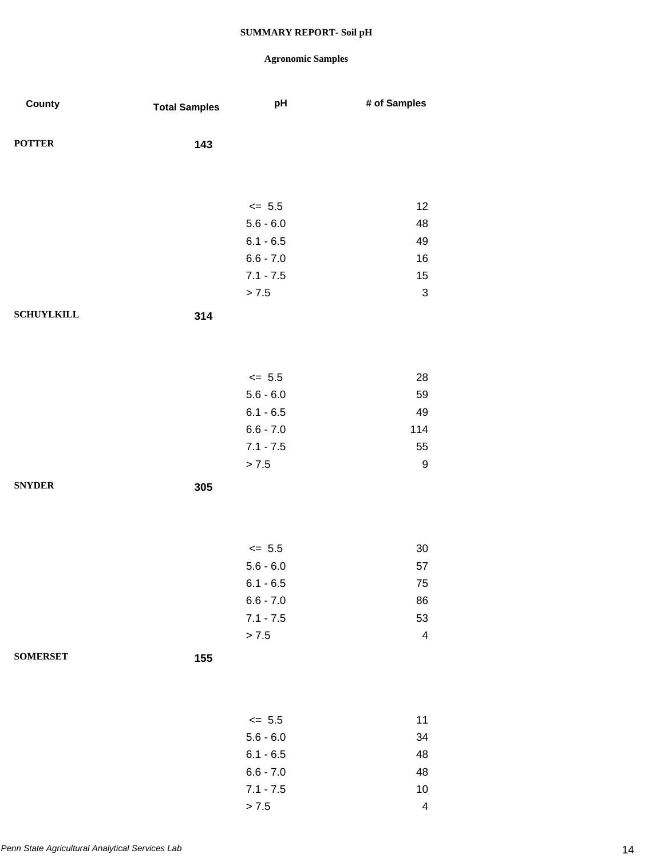| County            | <b>Total Samples</b> | pH          | # of Samples              |
|-------------------|----------------------|-------------|---------------------------|
| <b>POTTER</b>     | 143                  |             |                           |
|                   |                      |             |                           |
|                   |                      | $\leq$ 5.5  | 12                        |
|                   |                      | $5.6 - 6.0$ | 48                        |
|                   |                      | $6.1 - 6.5$ | 49                        |
|                   |                      | $6.6 - 7.0$ | 16                        |
|                   |                      | $7.1 - 7.5$ | 15                        |
|                   |                      | > 7.5       | $\ensuremath{\mathsf{3}}$ |
| <b>SCHUYLKILL</b> | 314                  |             |                           |
|                   |                      |             |                           |
|                   |                      | $\leq$ 5.5  | 28                        |
|                   |                      | $5.6 - 6.0$ | 59                        |
|                   |                      | $6.1 - 6.5$ | 49                        |
|                   |                      | $6.6 - 7.0$ | 114                       |
|                   |                      | $7.1 - 7.5$ | 55                        |
|                   |                      | > 7.5       | 9                         |
| <b>SNYDER</b>     | 305                  |             |                           |
|                   |                      |             |                           |
|                   |                      | $\leq$ 5.5  | $30\,$                    |
|                   |                      | $5.6 - 6.0$ | 57                        |
|                   |                      | $6.1 - 6.5$ | 75                        |
|                   |                      | $6.6 - 7.0$ | 86                        |
|                   |                      | $7.1 - 7.5$ | 53                        |
|                   |                      | > 7.5       | $\overline{\mathcal{A}}$  |
| <b>SOMERSET</b>   | 155                  |             |                           |
|                   |                      |             |                           |
|                   |                      | $\leq$ 5.5  | 11                        |
|                   |                      | $5.6 - 6.0$ | 34                        |
|                   |                      | $6.1 - 6.5$ | 48                        |
|                   |                      | $6.6 - 7.0$ | 48                        |
|                   |                      | $7.1 - 7.5$ | $10$                      |
|                   |                      | > 7.5       | 4                         |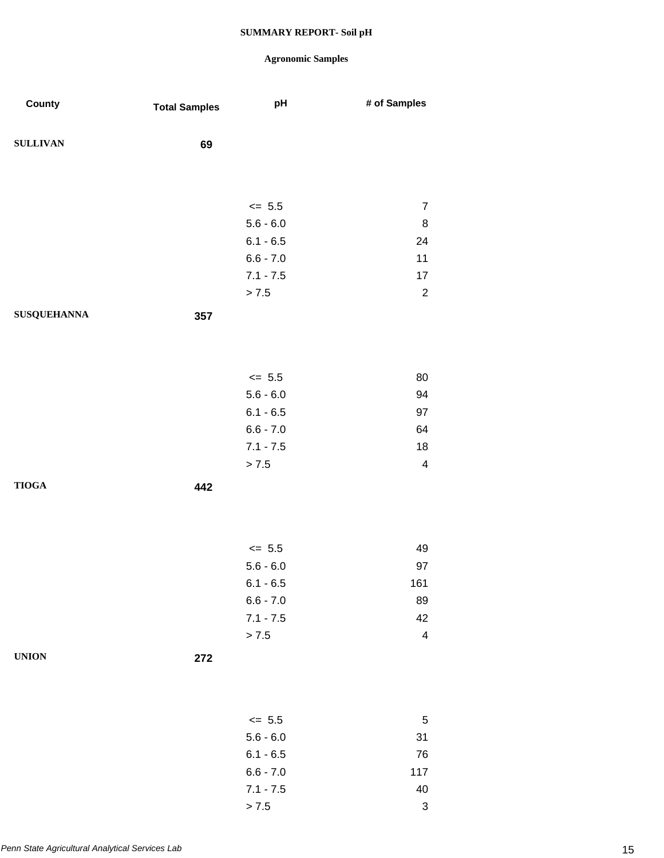| County             | <b>Total Samples</b> | pH                        | # of Samples                |
|--------------------|----------------------|---------------------------|-----------------------------|
|                    |                      |                           |                             |
| <b>SULLIVAN</b>    | 69                   |                           |                             |
|                    |                      |                           |                             |
|                    |                      |                           |                             |
|                    |                      | $\leq$ 5.5<br>$5.6 - 6.0$ | $\boldsymbol{7}$<br>$\bf 8$ |
|                    |                      | $6.1 - 6.5$               | 24                          |
|                    |                      | $6.6 - 7.0$               | 11                          |
|                    |                      | $7.1 - 7.5$               | $17\,$                      |
|                    |                      | > 7.5                     | $\overline{2}$              |
| <b>SUSQUEHANNA</b> | 357                  |                           |                             |
|                    |                      |                           |                             |
|                    |                      |                           |                             |
|                    |                      | $\leq$ 5.5                | 80                          |
|                    |                      | $5.6 - 6.0$               | 94                          |
|                    |                      | $6.1 - 6.5$               | 97                          |
|                    |                      | $6.6 - 7.0$               | 64                          |
|                    |                      | $7.1 - 7.5$               | 18                          |
|                    |                      | > 7.5                     | $\overline{\mathbf{4}}$     |
| <b>TIOGA</b>       | 442                  |                           |                             |
|                    |                      |                           |                             |
|                    |                      |                           |                             |
|                    |                      | $\leq$ 5.5                | 49                          |
|                    |                      | $5.6 - 6.0$               | 97                          |
|                    |                      | $6.1 - 6.5$               | 161                         |
|                    |                      | $6.6 - 7.0$               | 89                          |
|                    |                      | $7.1 - 7.5$               | 42                          |
|                    |                      | $> 7.5$                   | $\overline{\mathbf{4}}$     |
| <b>UNION</b>       | 272                  |                           |                             |
|                    |                      |                           |                             |
|                    |                      |                           |                             |
|                    |                      | $\leq$ 5.5                | $\,$ 5 $\,$                 |
|                    |                      | $5.6 - 6.0$               | 31                          |
|                    |                      | $6.1 - 6.5$               | 76                          |
|                    |                      | $6.6 - 7.0$               | 117                         |
|                    |                      | $7.1 - 7.5$               | 40                          |
|                    |                      | > 7.5                     | $\ensuremath{\mathsf{3}}$   |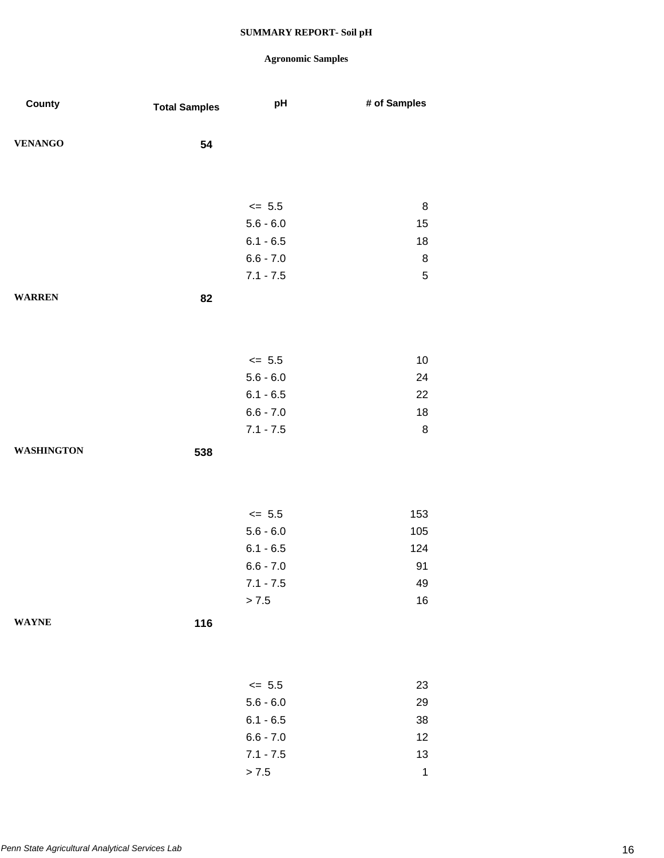| County            | <b>Total Samples</b> | pH          | # of Samples |
|-------------------|----------------------|-------------|--------------|
| <b>VENANGO</b>    | 54                   |             |              |
|                   |                      |             |              |
|                   |                      |             |              |
|                   |                      | $\leq$ 5.5  | $\,8\,$      |
|                   |                      | $5.6 - 6.0$ | 15           |
|                   |                      | $6.1 - 6.5$ | 18           |
|                   |                      | $6.6 - 7.0$ | $\bf 8$      |
|                   |                      | $7.1 - 7.5$ | 5            |
| <b>WARREN</b>     | 82                   |             |              |
|                   |                      |             |              |
|                   |                      |             |              |
|                   |                      | $\leq$ 5.5  | $10$         |
|                   |                      | $5.6 - 6.0$ | 24           |
|                   |                      | $6.1 - 6.5$ | 22           |
|                   |                      | $6.6 - 7.0$ | 18           |
|                   |                      | $7.1 - 7.5$ | $\,8\,$      |
| <b>WASHINGTON</b> | 538                  |             |              |
|                   |                      |             |              |
|                   |                      |             |              |
|                   |                      |             |              |
|                   |                      | $\le$ 5.5   | 153          |
|                   |                      | $5.6 - 6.0$ | 105          |
|                   |                      | $6.1 - 6.5$ | 124          |
|                   |                      | $6.6 - 7.0$ | 91           |
|                   |                      | $7.1 - 7.5$ | 49           |
|                   |                      | > 7.5       | $16\,$       |
| <b>WAYNE</b>      | 116                  |             |              |
|                   |                      |             |              |
|                   |                      |             |              |
|                   |                      | $\leq$ 5.5  | 23           |
|                   |                      | $5.6 - 6.0$ | 29           |
|                   |                      | $6.1 - 6.5$ | 38           |
|                   |                      | $6.6 - 7.0$ | 12           |
|                   |                      | $7.1 - 7.5$ | 13           |
|                   |                      | > 7.5       | $\mathbf 1$  |